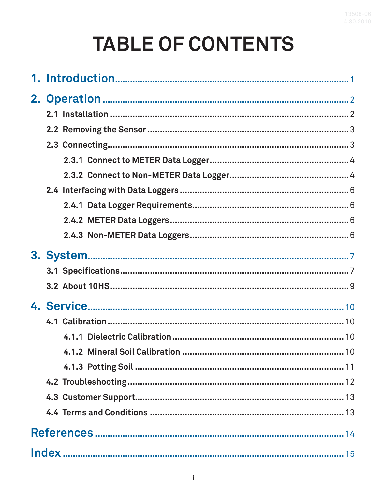# **TABLE OF CONTENTS**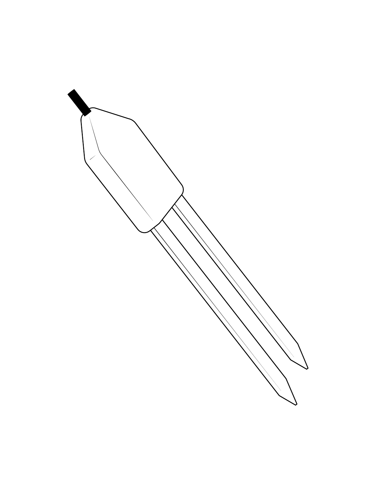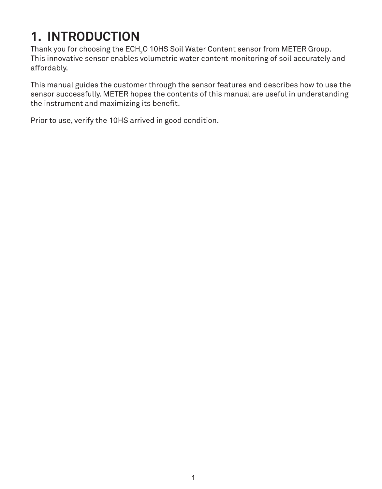# <span id="page-2-0"></span>**1. INTRODUCTION**

Thank you for choosing the ECH<sub>2</sub>O 10HS Soil Water Content sensor from METER Group. This innovative sensor enables volumetric water content monitoring of soil accurately and affordably.

This manual guides the customer through the sensor features and describes how to use the sensor successfully. METER hopes the contents of this manual are useful in understanding the instrument and maximizing its benefit.

Prior to use, verify the 10HS arrived in good condition.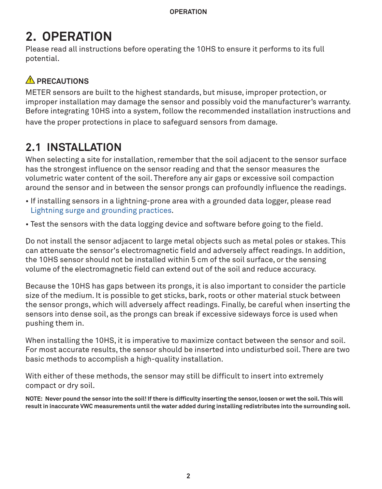# <span id="page-3-0"></span>**2. OPERATION**

Please read all instructions before operating the 10HS to ensure it performs to its full potential.

# **A** PRECAUTIONS

METER sensors are built to the highest standards, but misuse, improper protection, or improper installation may damage the sensor and possibly void the manufacturer's warranty. Before integrating 10HS into a system, follow the recommended installation instructions and have the proper protections in place to safeguard sensors from damage.

# **2.1 INSTALLATION**

When selecting a site for installation, remember that the soil adjacent to the sensor surface has the strongest influence on the sensor reading and that the sensor measures the volumetric water content of the soil. Therefore any air gaps or excessive soil compaction around the sensor and in between the sensor prongs can profoundly influence the readings.

- If installing sensors in a lightning-prone area with a grounded data logger, please read [Lightning surge and grounding practices](https://www.metergroup.com/lightning-surge-grounding-practices).
- Test the sensors with the data logging device and software before going to the field.

Do not install the sensor adjacent to large metal objects such as metal poles or stakes. This can attenuate the sensor's electromagnetic field and adversely affect readings. In addition, the 10HS sensor should not be installed within 5 cm of the soil surface, or the sensing volume of the electromagnetic field can extend out of the soil and reduce accuracy.

Because the 10HS has gaps between its prongs, it is also important to consider the particle size of the medium. It is possible to get sticks, bark, roots or other material stuck between the sensor prongs, which will adversely affect readings. Finally, be careful when inserting the sensors into dense soil, as the prongs can break if excessive sideways force is used when pushing them in.

When installing the 10HS, it is imperative to maximize contact between the sensor and soil. For most accurate results, the sensor should be inserted into undisturbed soil. There are two basic methods to accomplish a high-quality installation.

With either of these methods, the sensor may still be difficult to insert into extremely compact or dry soil.

**NOTE: Never pound the sensor into the soil! If there is difficulty inserting the sensor, loosen or wet the soil. This will result in inaccurate VWC measurements until the water added during installing redistributes into the surrounding soil.**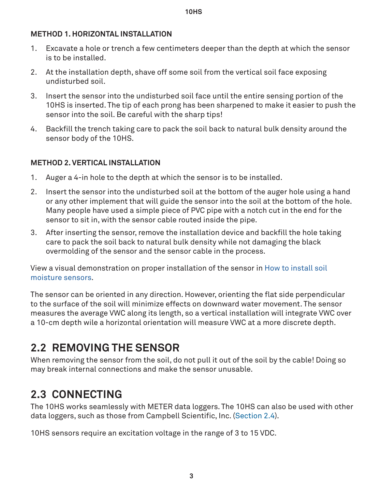#### <span id="page-4-0"></span>**METHOD 1. HORIZONTAL INSTALLATION**

- 1. Excavate a hole or trench a few centimeters deeper than the depth at which the sensor is to be installed.
- 2. At the installation depth, shave off some soil from the vertical soil face exposing undisturbed soil.
- 3. Insert the sensor into the undisturbed soil face until the entire sensing portion of the 10HS is inserted. The tip of each prong has been sharpened to make it easier to push the sensor into the soil. Be careful with the sharp tips!
- 4. Backfill the trench taking care to pack the soil back to natural bulk density around the sensor body of the 10HS.

#### **METHOD 2. VERTICAL INSTALLATION**

- 1. Auger a 4-in hole to the depth at which the sensor is to be installed.
- 2. Insert the sensor into the undisturbed soil at the bottom of the auger hole using a hand or any other implement that will guide the sensor into the soil at the bottom of the hole. Many people have used a simple piece of PVC pipe with a notch cut in the end for the sensor to sit in, with the sensor cable routed inside the pipe.
- 3. After inserting the sensor, remove the installation device and backfill the hole taking care to pack the soil back to natural bulk density while not damaging the black overmolding of the sensor and the sensor cable in the process.

View a visual demonstration on proper installation of the sensor in [How to install soil](https://www.metergroup.com/environment/articles/video-install-soil-moisture-sensors/)  [moisture sensors.](https://www.metergroup.com/environment/articles/video-install-soil-moisture-sensors/)

The sensor can be oriented in any direction. However, orienting the flat side perpendicular to the surface of the soil will minimize effects on downward water movement. The sensor measures the average VWC along its length, so a vertical installation will integrate VWC over a 10-cm depth wile a horizontal orientation will measure VWC at a more discrete depth.

# **2.2 REMOVING THE SENSOR**

When removing the sensor from the soil, do not pull it out of the soil by the cable! Doing so may break internal connections and make the sensor unusable.

# **2.3 CONNECTING**

The 10HS works seamlessly with METER data loggers. The 10HS can also be used with other data loggers, such as those from Campbell Scientific, Inc. [\(Section 2.4\)](#page-7-1).

10HS sensors require an excitation voltage in the range of 3 to 15 VDC.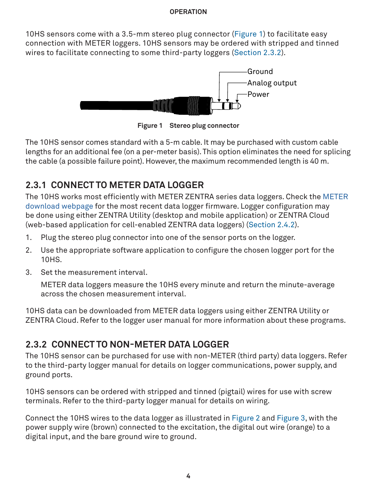#### **Operation**

<span id="page-5-0"></span>10HS sensors come with a 3.5-mm stereo plug connector ([Figure 1](#page-5-1)) to facilitate easy connection with METER loggers. 10HS sensors may be ordered with stripped and tinned wires to facilitate connecting to some third-party loggers ([Section 2.3.2](#page-5-2)).



<span id="page-5-1"></span>**Figure 1 Stereo plug connector**

The 10HS sensor comes standard with a 5-m cable. It may be purchased with custom cable lengths for an additional fee (on a per-meter basis). This option eliminates the need for splicing the cable (a possible failure point). However, the maximum recommended length is 40 m.

# **2.3.1 CONNECT TO METER DATA LOGGER**

The 10HS works most efficiently with METER ZENTRA series data loggers. Check the [METER](https://www.metergroup.com/environment/downloads/)  [download webpage](https://www.metergroup.com/environment/downloads/) for the most recent data logger firmware. Logger configuration may be done using either ZENTRA Utility (desktop and mobile application) or ZENTRA Cloud (web-based application for cell-enabled ZENTRA data loggers) ([Section 2.4.2](#page-7-2)).

- 1. Plug the stereo plug connector into one of the sensor ports on the logger.
- 2. Use the appropriate software application to configure the chosen logger port for the 10HS.
- 3. Set the measurement interval.

METER data loggers measure the 10HS every minute and return the minute-average across the chosen measurement interval.

10HS data can be downloaded from METER data loggers using either ZENTRA Utility or ZENTRA Cloud. Refer to the logger user manual for more information about these programs.

### <span id="page-5-2"></span>**2.3.2 CONNECT TO NON-METER DATA LOGGER**

The 10HS sensor can be purchased for use with non-METER (third party) data loggers. Refer to the third-party logger manual for details on logger communications, power supply, and ground ports.

10HS sensors can be ordered with stripped and tinned (pigtail) wires for use with screw terminals. Refer to the third-party logger manual for details on wiring.

Connect the 10HS wires to the data logger as illustrated in [Figure 2](#page-6-0) and [Figure 3](#page-6-1), with the power supply wire (brown) connected to the excitation, the digital out wire (orange) to a digital input, and the bare ground wire to ground.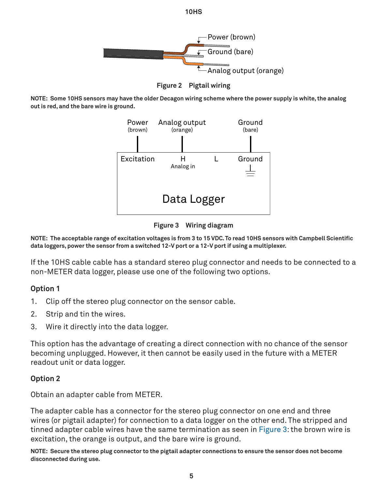<span id="page-6-0"></span>**10HS**

<span id="page-6-2"></span>

**NOTE: Some 10HS sensors may have the older Decagon wiring scheme where the power supply is white, the analog out is red, and the bare wire is ground.**



<span id="page-6-1"></span>**Figure 3 Wiring diagram**

**NOTE: The acceptable range of excitation voltages is from 3 to 15 VDC. To read 10HS sensors with Campbell Scientific data loggers, power the sensor from a switched 12-V port or a 12-V port if using a multiplexer.**

If the 10HS cable cable has a standard stereo plug connector and needs to be connected to a non-METER data logger, please use one of the following two options.

#### **Option 1**

- 1. Clip off the stereo plug connector on the sensor cable.
- 2. Strip and tin the wires.
- 3. Wire it directly into the data logger.

This option has the advantage of creating a direct connection with no chance of the sensor becoming unplugged. However, it then cannot be easily used in the future with a METER readout unit or data logger.

#### **Option 2**

Obtain an adapter cable from METER.

The adapter cable has a connector for the stereo plug connector on one end and three wires (or pigtail adapter) for connection to a data logger on the other end. The stripped and tinned adapter cable wires have the same termination as seen in [Figure 3](#page-6-1): the brown wire is excitation, the orange is output, and the bare wire is ground.

**NOTE: Secure the stereo plug connector to the pigtail adapter connections to ensure the sensor does not become disconnected during use.**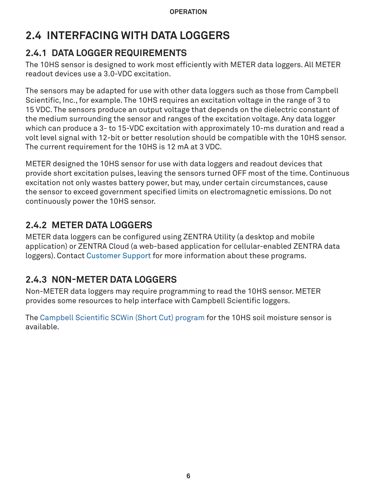# <span id="page-7-1"></span><span id="page-7-0"></span>**2.4 INTERFACING WITH DATA LOGGERS**

# **2.4.1 DATA LOGGER REQUIREMENTS**

The 10HS sensor is designed to work most efficiently with METER data loggers. All METER readout devices use a 3.0-VDC excitation.

The sensors may be adapted for use with other data loggers such as those from Campbell Scientific, Inc., for example. The 10HS requires an excitation voltage in the range of 3 to 15 VDC. The sensors produce an output voltage that depends on the dielectric constant of the medium surrounding the sensor and ranges of the excitation voltage. Any data logger which can produce a 3- to 15-VDC excitation with approximately 10-ms duration and read a volt level signal with 12-bit or better resolution should be compatible with the 10HS sensor. The current requirement for the 10HS is 12 mA at 3 VDC.

METER designed the 10HS sensor for use with data loggers and readout devices that provide short excitation pulses, leaving the sensors turned OFF most of the time. Continuous excitation not only wastes battery power, but may, under certain circumstances, cause the sensor to exceed government specified limits on electromagnetic emissions. Do not continuously power the 10HS sensor.

# <span id="page-7-2"></span>**2.4.2 METER DATA LOGGERS**

METER data loggers can be configured using ZENTRA Utility (a desktop and mobile application) or ZENTRA Cloud (a web-based application for cellular-enabled ZENTRA data loggers). Contact [Customer Support](#page-14-1) for more information about these programs.

# **2.4.3 NON-METER DATA LOGGERS**

Non-METER data loggers may require programming to read the 10HS sensor. METER provides some resources to help interface with Campbell Scientific loggers.

The [Campbell Scientific SCWin \(Short Cut\) program](https://www.metergroup.com/environment/articles/using-scwin-short-cut-read-sensors/) for the 10HS soil moisture sensor is available.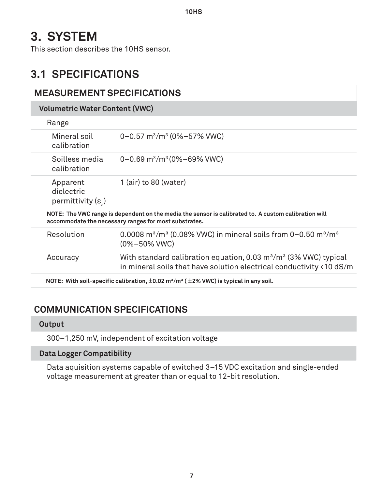# <span id="page-8-0"></span>**3. SYSTEM**

This section describes the 10HS sensor.

# **3.1 SPECIFICATIONS**

### **MEASUREMENT SPECIFICATIONS**

| <b>Volumetric Water Content (VWC)</b>                                                                                                                         |                                                                                                                                             |  |
|---------------------------------------------------------------------------------------------------------------------------------------------------------------|---------------------------------------------------------------------------------------------------------------------------------------------|--|
| Range                                                                                                                                                         |                                                                                                                                             |  |
| Mineral soil<br>calibration                                                                                                                                   | 0-0.57 $\text{m}^3/\text{m}^3$ (0%-57% VWC)                                                                                                 |  |
| Soilless media<br>calibration                                                                                                                                 | 0-0.69 m <sup>3</sup> /m <sup>3</sup> (0%-69% VWC)                                                                                          |  |
| Apparent<br>dielectric<br>permittivity (ε)                                                                                                                    | 1 (air) to 80 (water)                                                                                                                       |  |
| NOTE: The VWC range is dependent on the media the sensor is calibrated to. A custom calibration will<br>accommodate the necessary ranges for most substrates. |                                                                                                                                             |  |
| Resolution                                                                                                                                                    | 0.0008 m <sup>3</sup> /m <sup>3</sup> (0.08% VWC) in mineral soils from 0-0.50 m <sup>3</sup> /m <sup>3</sup><br>$(0\% - 50\%$ VWC)         |  |
| Accuracy                                                                                                                                                      | With standard calibration equation, 0.03 $m^3/m^3$ (3% VWC) typical<br>in mineral soils that have solution electrical conductivity <10 dS/m |  |
|                                                                                                                                                               |                                                                                                                                             |  |

**NOTE: With soil-specific calibration,** ±**0.02 m³/m³ (** ±**2% VWC) is typical in any soil.**

### **COMMUNICATION SPECIFICATIONS**

#### **Output**

300−1,250 mV, independent of excitation voltage

#### **Data Logger Compatibility**

Data aquisition systems capable of switched 3–15 VDC excitation and single-ended voltage measurement at greater than or equal to 12-bit resolution.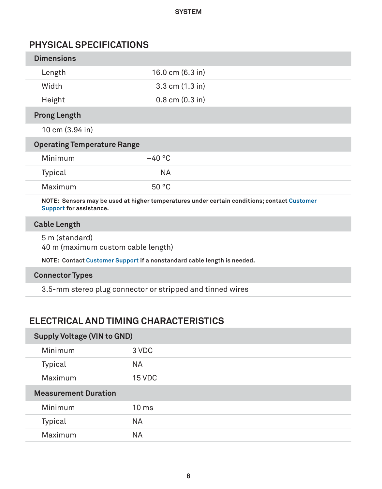#### **System**

# <span id="page-9-0"></span>**PHYSICAL SPECIFICATIONS**

| <b>Dimensions</b>                                                                                                      |                     |  |
|------------------------------------------------------------------------------------------------------------------------|---------------------|--|
| Length                                                                                                                 | 16.0 cm (6.3 in)    |  |
| Width                                                                                                                  | $3.3$ cm $(1.3)$ in |  |
| Height                                                                                                                 | $0.8$ cm $(0.3)$ in |  |
| <b>Prong Length</b>                                                                                                    |                     |  |
| 10 cm (3.94 in)                                                                                                        |                     |  |
| <b>Operating Temperature Range</b>                                                                                     |                     |  |
| Minimum                                                                                                                | $-40 °C$            |  |
| Typical                                                                                                                | NA.                 |  |
| Maximum                                                                                                                | 50 °C               |  |
| NOTE: Sensors may be used at higher temperatures under certain conditions; contact Customer<br>Support for assistance. |                     |  |
| <b>Cable Length</b>                                                                                                    |                     |  |
| 5 m (standard)<br>40 m (maximum custom cable length)                                                                   |                     |  |
| NOTE: Contact Customer Support if a nonstandard cable length is needed.                                                |                     |  |
| <b>Connector Types</b>                                                                                                 |                     |  |

3.5-mm stereo plug connector or stripped and tinned wires

## **ELECTRICAL AND TIMING CHARACTERISTICS**

| <b>Supply Voltage (VIN to GND)</b> |                  |  |
|------------------------------------|------------------|--|
| Minimum                            | 3 VDC            |  |
| Typical                            | NA.              |  |
| Maximum                            | 15 VDC           |  |
| <b>Measurement Duration</b>        |                  |  |
| Minimum                            | 10 <sub>ms</sub> |  |
| Typical                            | <b>NA</b>        |  |
| Maximum                            | <b>NA</b>        |  |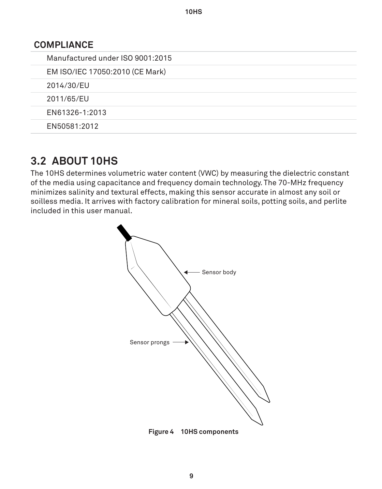### <span id="page-10-0"></span>**COMPLIANCE**

| Manufactured under ISO 9001:2015 |  |
|----------------------------------|--|
| EM ISO/IEC 17050:2010 (CE Mark)  |  |
| 2014/30/EU                       |  |
| 2011/65/EU                       |  |
| EN61326-1:2013                   |  |
| EN50581:2012                     |  |

# **3.2 ABOUT 10HS**

The 10HS determines volumetric water content (VWC) by measuring the dielectric constant of the media using capacitance and frequency domain technology. The 70-MHz frequency minimizes salinity and textural effects, making this sensor accurate in almost any soil or soilless media. It arrives with factory calibration for mineral soils, potting soils, and perlite included in this user manual.



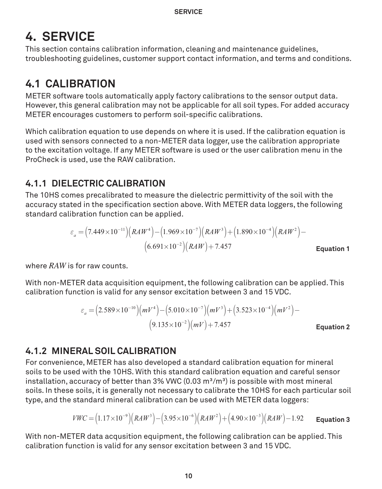# <span id="page-11-0"></span>**4. SERVICE**

This section contains calibration information, cleaning and maintenance guidelines, troubleshooting guidelines, customer support contact information, and terms and conditions.

# <span id="page-11-1"></span>**4.1 CALIBRATION**

METER software tools automatically apply factory calibrations to the sensor output data. However, this general calibration may not be applicable for all soil types. For added accuracy METER encourages customers to perform soil-specific calibrations.

Which calibration equation to use depends on where it is used. If the calibration equation is used with sensors connected to a non-METER data logger, use the calibration appropriate to the excitation voltage. If any METER software is used or the user calibration menu in the ProCheck is used, use the RAW calibration.

# **4.1.1 DIELECTRIC CALIBRATION**

The 10HS comes precalibrated to measure the dielectric permittivity of the soil with the accuracy stated in the specification section above. With METER data loggers, the following standard calibration function can be applied.

$$
\varepsilon_a = (7.449 \times 10^{-11})(RAW^4) - (1.969 \times 10^{-7})(RAW^3) + (1.890 \times 10^{-4})(RAW^2) - (6.691 \times 10^{-2})(RAW) + 7.457
$$
 Equation 1

where *RAW* is for raw counts.

With non-METER data acquisition equipment, the following calibration can be applied. This calibration function is valid for any sensor excitation between 3 and 15 VDC.

$$
\varepsilon_a = (2.589 \times 10^{-10}) \left( mV^4 \right) - (5.010 \times 10^{-7}) \left( mV^3 \right) + (3.523 \times 10^{-4}) \left( mV^2 \right) -
$$
\n
$$
(9.135 \times 10^{-2}) \left( mV \right) + 7.457
$$
\nEquation 2

### **4.1.2 MINERAL SOIL CALIBRATION**

For convenience, METER has also developed a standard calibration equation for mineral soils to be used with the 10HS. With this standard calibration equation and careful sensor installation, accuracy of better than 3% VWC (0.03  $m^3/m^3$ ) is possible with most mineral soils. In these soils, it is generally not necessary to calibrate the 10HS for each particular soil type, and the standard mineral calibration can be used with METER data loggers:

$$
VWC = (1.17 \times 10^{-9}) (RAW^3) - (3.95 \times 10^{-6}) (RAW^2) + (4.90 \times 10^{-3}) (RAW) - 1.92
$$
 Equation 3

With non-METER data acqusition equipment, the following calibration can be applied. This calibration function is valid for any sensor excitation between 3 and 15 VDC.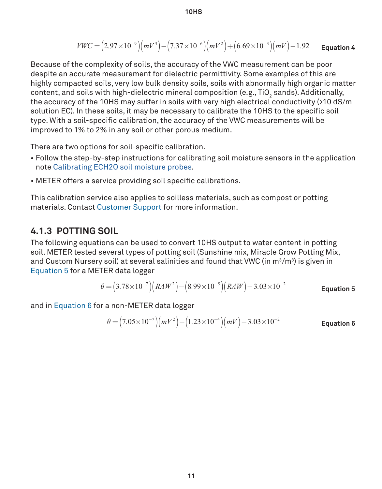<span id="page-12-1"></span>**10HS**

$$
VWC = (2.97 \times 10^{-9})(mV^3) - (7.37 \times 10^{-6})(mV^2) + (6.69 \times 10^{-3})(mV) - 1.92
$$
 Equation 4

<span id="page-12-0"></span>Because of the complexity of soils, the accuracy of the VWC measurement can be poor despite an accurate measurement for dielectric permittivity. Some examples of this are highly compacted soils, very low bulk density soils, soils with abnormally high organic matter content, and soils with high-dielectric mineral composition (e.g., TiO $_{_2}$  sands). Additionally, the accuracy of the 10HS may suffer in soils with very high electrical conductivity (>10 dS/m solution EC). In these soils, it may be necessary to calibrate the 10HS to the specific soil type. With a soil-specific calibration, the accuracy of the VWC measurements will be improved to 1% to 2% in any soil or other porous medium.

There are two options for soil-specific calibration.

- Follow the step-by-step instructions for calibrating soil moisture sensors in the application note [Calibrating ECH2O soil moisture probes.](http://www.metergroup.com/soil-sensor-calibration)
- METER offers a service providing soil specific calibrations.

This calibration service also applies to soilless materials, such as compost or potting materials. Contact [Customer Support](#page-14-1) for more information.

### **4.1.3 POTTING SOIL**

The following equations can be used to convert 10HS output to water content in potting soil. METER tested several types of potting soil (Sunshine mix, Miracle Grow Potting Mix, and Custom Nursery soil) at several salinities and found that VWC (in m $^3{\rm /m^3)}$  is given in [Equation 5](#page-12-1) for a METER data logger

$$
\theta = (3.78 \times 10^{-7}) (RAW^2) - (8.99 \times 10^{-5}) (RAW) - 3.03 \times 10^{-2}
$$
 Equation 5

and in [Equation 6](#page-12-2) for a non-METER data logger

<span id="page-12-2"></span>
$$
\theta = (7.05 \times 10^{-7}) (mV^2) - (1.23 \times 10^{-4}) (mV) - 3.03 \times 10^{-2}
$$
 Equation 6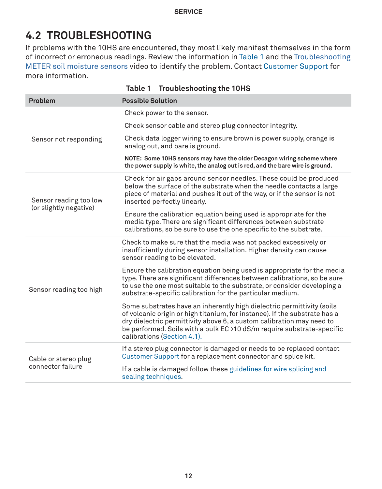#### <span id="page-13-1"></span>**Service**

# <span id="page-13-0"></span>**4.2 TROUBLESHOOTING**

If problems with the 10HS are encountered, they most likely manifest themselves in the form of incorrect or erroneous readings. Review the information in [Table 1](#page-13-1) and the [Troubleshooting](https://www.metergroup.com/environment/articles/support-video-troubleshooting-meter-soil-sensors/)  [METER soil moisture sensors](https://www.metergroup.com/environment/articles/support-video-troubleshooting-meter-soil-sensors/) video to identify the problem. Contact [Customer Support](#page-14-1) for more information.

|                         | Table 1 Troubleshooting the 10HS                                                                                                                                                                                                                                                                                                       |
|-------------------------|----------------------------------------------------------------------------------------------------------------------------------------------------------------------------------------------------------------------------------------------------------------------------------------------------------------------------------------|
| Problem                 | <b>Possible Solution</b>                                                                                                                                                                                                                                                                                                               |
|                         | Check power to the sensor.                                                                                                                                                                                                                                                                                                             |
|                         | Check sensor cable and stereo plug connector integrity.                                                                                                                                                                                                                                                                                |
| Sensor not responding   | Check data logger wiring to ensure brown is power supply, orange is<br>analog out, and bare is ground.                                                                                                                                                                                                                                 |
|                         | NOTE: Some 10HS sensors may have the older Decagon wiring scheme where<br>the power supply is white, the analog out is red, and the bare wire is ground.                                                                                                                                                                               |
| Sensor reading too low  | Check for air gaps around sensor needles. These could be produced<br>below the surface of the substrate when the needle contacts a large<br>piece of material and pushes it out of the way, or if the sensor is not<br>inserted perfectly linearly.                                                                                    |
| (or slightly negative)  | Ensure the calibration equation being used is appropriate for the<br>media type. There are significant differences between substrate<br>calibrations, so be sure to use the one specific to the substrate.                                                                                                                             |
|                         | Check to make sure that the media was not packed excessively or<br>insufficiently during sensor installation. Higher density can cause<br>sensor reading to be elevated.                                                                                                                                                               |
| Sensor reading too high | Ensure the calibration equation being used is appropriate for the media<br>type. There are significant differences between calibrations, so be sure<br>to use the one most suitable to the substrate, or consider developing a<br>substrate-specific calibration for the particular medium.                                            |
|                         | Some substrates have an inherently high dielectric permittivity (soils<br>of volcanic origin or high titanium, for instance). If the substrate has a<br>dry dielectric permittivity above 6, a custom calibration may need to<br>be performed. Soils with a bulk EC >10 dS/m require substrate-specific<br>calibrations (Section 4.1). |
| Cable or stereo plug    | If a stereo plug connector is damaged or needs to be replaced contact<br>Customer Support for a replacement connector and splice kit.                                                                                                                                                                                                  |
| connector failure       | If a cable is damaged follow these guidelines for wire splicing and<br>sealing techniques.                                                                                                                                                                                                                                             |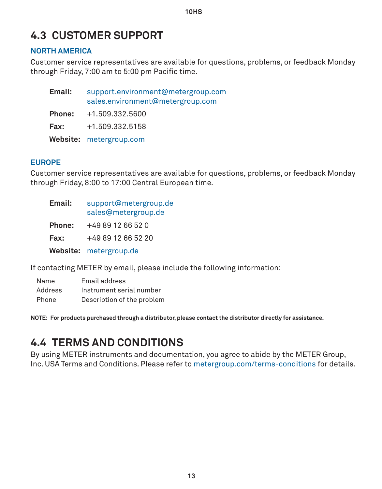**10HS**

# <span id="page-14-1"></span><span id="page-14-0"></span>**4.3 CUSTOMER SUPPORT**

#### **NORTH AMERICA**

Customer service representatives are available for questions, problems, or feedback Monday through Friday, 7:00 am to 5:00 pm Pacific time.

| Email:        | support.environment@metergroup.com<br>sales.environment@metergroup.com |
|---------------|------------------------------------------------------------------------|
| <b>Phone:</b> | +1.509.332.5600                                                        |
| Fax:          | +1.509.332.5158                                                        |
|               | Website: metergroup.com                                                |

#### **EUROPE**

Customer service representatives are available for questions, problems, or feedback Monday through Friday, 8:00 to 17:00 Central European time.

| Email: | support@metergroup.de<br>sales@metergroup.de |
|--------|----------------------------------------------|
| Phone: | +49 89 12 66 52 0                            |
| Fax:   | +49 89 12 66 52 20                           |
|        | Website: metergroup.de                       |

If contacting METER by email, please include the following information:

| Name    | Email address              |
|---------|----------------------------|
| Address | Instrument serial number   |
| Phone   | Description of the problem |

**NOTE: For products purchased through a distributor, please contact the distributor directly for assistance.**

# **4.4 TERMS AND CONDITIONS**

By using METER instruments and documentation, you agree to abide by the METER Group, Inc. USA Terms and Conditions. Please refer to [metergroup.com/terms-conditions](http://www.metergroup.com/terms-conditions) for details.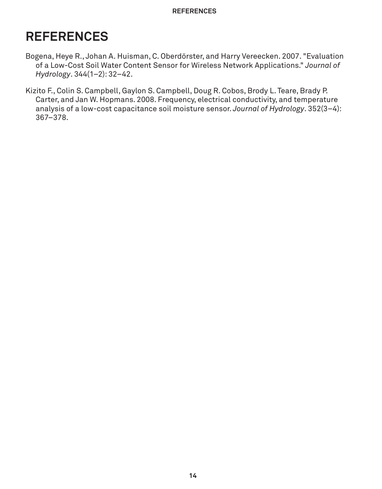# <span id="page-15-0"></span>**REFERENCES**

- Bogena, Heye R., Johan A. Huisman, C. Oberdörster, and Harry Vereecken. 2007. "Evaluation of a Low-Cost Soil Water Content Sensor for Wireless Network Applications." *Journal of Hydrology*. 344(1–2): 32–42.
- Kizito F., Colin S. Campbell, Gaylon S. Campbell, Doug R. Cobos, Brody L. Teare, Brady P. Carter, and Jan W. Hopmans. 2008. Frequency, electrical conductivity, and temperature analysis of a low-cost capacitance soil moisture sensor. *Journal of Hydrology*. 352(3–4): 367–378.